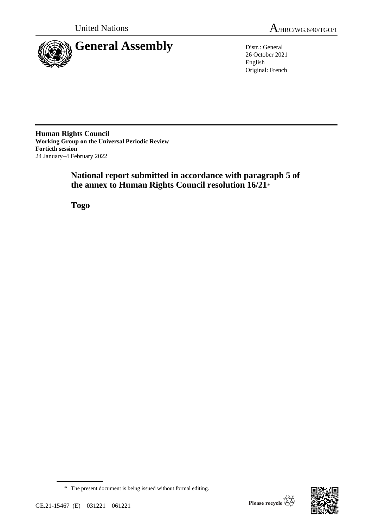

26 October 2021 English Original: French

**Human Rights Council Working Group on the Universal Periodic Review Fortieth session** 24 January–4 February 2022

# **National report submitted in accordance with paragraph 5 of the annex to Human Rights Council resolution 16/21**\*

**Togo**



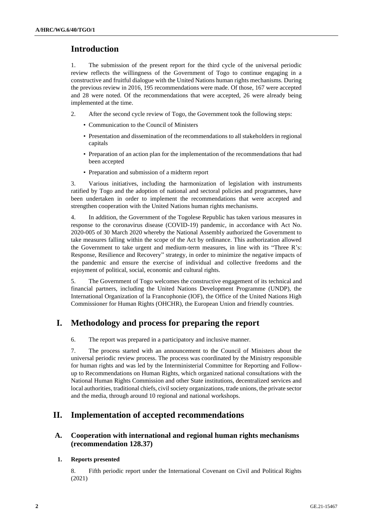# **Introduction**

1. The submission of the present report for the third cycle of the universal periodic review reflects the willingness of the Government of Togo to continue engaging in a constructive and fruitful dialogue with the United Nations human rights mechanisms. During the previous review in 2016, 195 recommendations were made. Of those, 167 were accepted and 28 were noted. Of the recommendations that were accepted, 26 were already being implemented at the time.

- 2. After the second cycle review of Togo, the Government took the following steps:
	- Communication to the Council of Ministers
	- Presentation and dissemination of the recommendations to all stakeholders in regional capitals
	- Preparation of an action plan for the implementation of the recommendations that had been accepted
	- Preparation and submission of a midterm report

3. Various initiatives, including the harmonization of legislation with instruments ratified by Togo and the adoption of national and sectoral policies and programmes, have been undertaken in order to implement the recommendations that were accepted and strengthen cooperation with the United Nations human rights mechanisms.

4. In addition, the Government of the Togolese Republic has taken various measures in response to the coronavirus disease (COVID-19) pandemic, in accordance with Act No. 2020-005 of 30 March 2020 whereby the National Assembly authorized the Government to take measures falling within the scope of the Act by ordinance. This authorization allowed the Government to take urgent and medium-term measures, in line with its "Three R's: Response, Resilience and Recovery" strategy, in order to minimize the negative impacts of the pandemic and ensure the exercise of individual and collective freedoms and the enjoyment of political, social, economic and cultural rights.

5. The Government of Togo welcomes the constructive engagement of its technical and financial partners, including the United Nations Development Programme (UNDP), the International Organization of la Francophonie (IOF), the Office of the United Nations High Commissioner for Human Rights (OHCHR), the European Union and friendly countries.

# **I. Methodology and process for preparing the report**

6. The report was prepared in a participatory and inclusive manner.

7. The process started with an announcement to the Council of Ministers about the universal periodic review process. The process was coordinated by the Ministry responsible for human rights and was led by the Interministerial Committee for Reporting and Followup to Recommendations on Human Rights, which organized national consultations with the National Human Rights Commission and other State institutions, decentralized services and local authorities, traditional chiefs, civil society organizations, trade unions, the private sector and the media, through around 10 regional and national workshops.

# **II. Implementation of accepted recommendations**

# **A. Cooperation with international and regional human rights mechanisms (recommendation 128.37)**

## **1. Reports presented**

8. Fifth periodic report under the International Covenant on Civil and Political Rights (2021)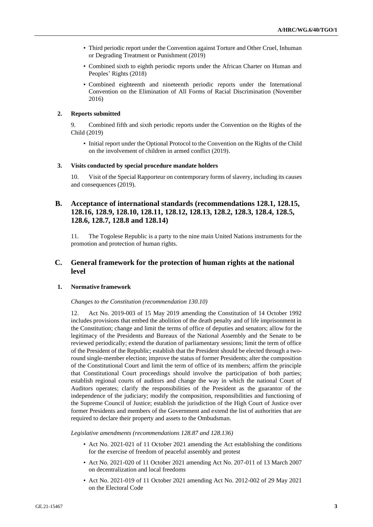- Third periodic report under the Convention against Torture and Other Cruel, Inhuman or Degrading Treatment or Punishment (2019)
- Combined sixth to eighth periodic reports under the African Charter on Human and Peoples' Rights (2018)
- Combined eighteenth and nineteenth periodic reports under the International Convention on the Elimination of All Forms of Racial Discrimination (November 2016)

### **2. Reports submitted**

9. Combined fifth and sixth periodic reports under the Convention on the Rights of the Child (2019)

• Initial report under the Optional Protocol to the Convention on the Rights of the Child on the involvement of children in armed conflict (2019).

#### **3. Visits conducted by special procedure mandate holders**

10. Visit of the Special Rapporteur on contemporary forms of slavery, including its causes and consequences (2019).

# **B. Acceptance of international standards (recommendations 128.1, 128.15, 128.16, 128.9, 128.10, 128.11, 128.12, 128.13, 128.2, 128.3, 128.4, 128.5, 128.6, 128.7, 128.8 and 128.14)**

11. The Togolese Republic is a party to the nine main United Nations instruments for the promotion and protection of human rights.

# **C. General framework for the protection of human rights at the national level**

### **1. Normative framework**

#### *Changes to the Constitution (recommendation 130.10)*

12. Act No. 2019-003 of 15 May 2019 amending the Constitution of 14 October 1992 includes provisions that embed the abolition of the death penalty and of life imprisonment in the Constitution; change and limit the terms of office of deputies and senators; allow for the legitimacy of the Presidents and Bureaux of the National Assembly and the Senate to be reviewed periodically; extend the duration of parliamentary sessions; limit the term of office of the President of the Republic; establish that the President should be elected through a tworound single-member election; improve the status of former Presidents; alter the composition of the Constitutional Court and limit the term of office of its members; affirm the principle that Constitutional Court proceedings should involve the participation of both parties; establish regional courts of auditors and change the way in which the national Court of Auditors operates; clarify the responsibilities of the President as the guarantor of the independence of the judiciary; modify the composition, responsibilities and functioning of the Supreme Council of Justice; establish the jurisdiction of the High Court of Justice over former Presidents and members of the Government and extend the list of authorities that are required to declare their property and assets to the Ombudsman.

*Legislative amendments (recommendations 128.87 and 128.136)*

- Act No. 2021-021 of 11 October 2021 amending the Act establishing the conditions for the exercise of freedom of peaceful assembly and protest
- Act No. 2021-020 of 11 October 2021 amending Act No. 207-011 of 13 March 2007 on decentralization and local freedoms
- Act No. 2021-019 of 11 October 2021 amending Act No. 2012-002 of 29 May 2021 on the Electoral Code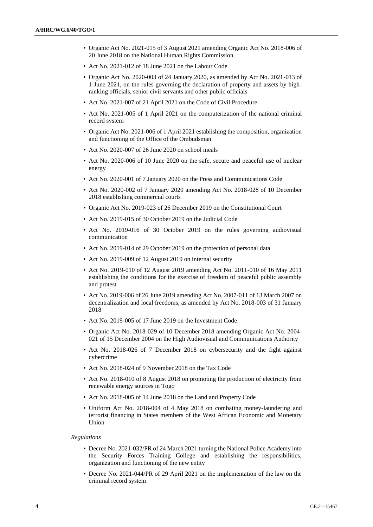- Organic Act No. 2021-015 of 3 August 2021 amending Organic Act No. 2018-006 of 20 June 2018 on the National Human Rights Commission
- Act No. 2021-012 of 18 June 2021 on the Labour Code
- Organic Act No. 2020-003 of 24 January 2020, as amended by Act No. 2021-013 of 1 June 2021, on the rules governing the declaration of property and assets by highranking officials, senior civil servants and other public officials
- Act No. 2021-007 of 21 April 2021 on the Code of Civil Procedure
- Act No. 2021-005 of 1 April 2021 on the computerization of the national criminal record system
- Organic Act No. 2021-006 of 1 April 2021 establishing the composition, organization and functioning of the Office of the Ombudsman
- Act No. 2020-007 of 26 June 2020 on school meals
- Act No. 2020-006 of 10 June 2020 on the safe, secure and peaceful use of nuclear energy
- Act No. 2020-001 of 7 January 2020 on the Press and Communications Code
- Act No. 2020-002 of 7 January 2020 amending Act No. 2018-028 of 10 December 2018 establishing commercial courts
- Organic Act No. 2019-023 of 26 December 2019 on the Constitutional Court
- Act No. 2019-015 of 30 October 2019 on the Judicial Code
- Act No. 2019-016 of 30 October 2019 on the rules governing audiovisual communication
- Act No. 2019-014 of 29 October 2019 on the protection of personal data
- Act No. 2019-009 of 12 August 2019 on internal security
- Act No. 2019-010 of 12 August 2019 amending Act No. 2011-010 of 16 May 2011 establishing the conditions for the exercise of freedom of peaceful public assembly and protest
- Act No. 2019-006 of 26 June 2019 amending Act No. 2007-011 of 13 March 2007 on decentralization and local freedoms, as amended by Act No. 2018-003 of 31 January 2018
- Act No. 2019-005 of 17 June 2019 on the Investment Code
- Organic Act No. 2018-029 of 10 December 2018 amending Organic Act No. 2004- 021 of 15 December 2004 on the High Audiovisual and Communications Authority
- Act No. 2018-026 of 7 December 2018 on cybersecurity and the fight against cybercrime
- Act No. 2018-024 of 9 November 2018 on the Tax Code
- Act No. 2018-010 of 8 August 2018 on promoting the production of electricity from renewable energy sources in Togo
- Act No. 2018-005 of 14 June 2018 on the Land and Property Code
- Uniform Act No. 2018-004 of 4 May 2018 on combating money-laundering and terrorist financing in States members of the West African Economic and Monetary Union

#### *Regulations*

- Decree No. 2021-032/PR of 24 March 2021 turning the National Police Academy into the Security Forces Training College and establishing the responsibilities, organization and functioning of the new entity
- Decree No. 2021-044/PR of 29 April 2021 on the implementation of the law on the criminal record system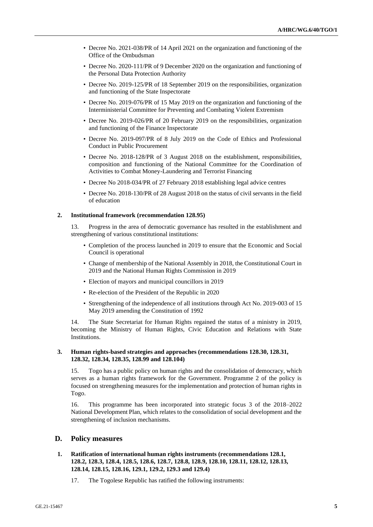- Decree No. 2021-038/PR of 14 April 2021 on the organization and functioning of the Office of the Ombudsman
- Decree No. 2020-111/PR of 9 December 2020 on the organization and functioning of the Personal Data Protection Authority
- Decree No. 2019-125/PR of 18 September 2019 on the responsibilities, organization and functioning of the State Inspectorate
- Decree No. 2019-076/PR of 15 May 2019 on the organization and functioning of the Interministerial Committee for Preventing and Combating Violent Extremism
- Decree No. 2019-026/PR of 20 February 2019 on the responsibilities, organization and functioning of the Finance Inspectorate
- Decree No. 2019-097/PR of 8 July 2019 on the Code of Ethics and Professional Conduct in Public Procurement
- Decree No. 2018-128/PR of 3 August 2018 on the establishment, responsibilities, composition and functioning of the National Committee for the Coordination of Activities to Combat Money-Laundering and Terrorist Financing
- Decree No 2018-034/PR of 27 February 2018 establishing legal advice centres
- Decree No. 2018-130/PR of 28 August 2018 on the status of civil servants in the field of education

#### **2. Institutional framework (recommendation 128.95)**

13. Progress in the area of democratic governance has resulted in the establishment and strengthening of various constitutional institutions:

- Completion of the process launched in 2019 to ensure that the Economic and Social Council is operational
- Change of membership of the National Assembly in 2018, the Constitutional Court in 2019 and the National Human Rights Commission in 2019
- Election of mayors and municipal councillors in 2019
- Re-election of the President of the Republic in 2020
- Strengthening of the independence of all institutions through Act No. 2019-003 of 15 May 2019 amending the Constitution of 1992

14. The State Secretariat for Human Rights regained the status of a ministry in 2019, becoming the Ministry of Human Rights, Civic Education and Relations with State Institutions.

## **3. Human rights-based strategies and approaches (recommendations 128.30, 128.31, 128.32, 128.34, 128.35, 128.99 and 128.104)**

15. Togo has a public policy on human rights and the consolidation of democracy, which serves as a human rights framework for the Government. Programme 2 of the policy is focused on strengthening measures for the implementation and protection of human rights in Togo.

16. This programme has been incorporated into strategic focus 3 of the 2018–2022 National Development Plan, which relates to the consolidation of social development and the strengthening of inclusion mechanisms.

# **D. Policy measures**

## **1. Ratification of international human rights instruments (recommendations 128.1, 128.2, 128.3, 128.4, 128.5, 128.6, 128.7, 128.8, 128.9, 128.10, 128.11, 128.12, 128.13, 128.14, 128.15, 128.16, 129.1, 129.2, 129.3 and 129.4)**

17. The Togolese Republic has ratified the following instruments: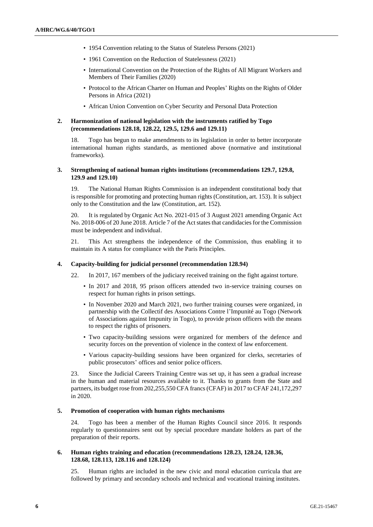- 1954 Convention relating to the Status of Stateless Persons (2021)
- 1961 Convention on the Reduction of Statelessness (2021)
- International Convention on the Protection of the Rights of All Migrant Workers and Members of Their Families (2020)
- Protocol to the African Charter on Human and Peoples' Rights on the Rights of Older Persons in Africa (2021)
- African Union Convention on Cyber Security and Personal Data Protection

### **2. Harmonization of national legislation with the instruments ratified by Togo (recommendations 128.18, 128.22, 129.5, 129.6 and 129.11)**

18. Togo has begun to make amendments to its legislation in order to better incorporate international human rights standards, as mentioned above (normative and institutional frameworks).

#### **3. Strengthening of national human rights institutions (recommendations 129.7, 129.8, 129.9 and 129.10)**

19. The National Human Rights Commission is an independent constitutional body that is responsible for promoting and protecting human rights (Constitution, art. 153). It is subject only to the Constitution and the law (Constitution, art. 152).

20. It is regulated by Organic Act No. 2021-015 of 3 August 2021 amending Organic Act No. 2018-006 of 20 June 2018. Article 7 of the Act states that candidacies for the Commission must be independent and individual.

21. This Act strengthens the independence of the Commission, thus enabling it to maintain its A status for compliance with the Paris Principles.

### **4. Capacity-building for judicial personnel (recommendation 128.94)**

- 22. In 2017, 167 members of the judiciary received training on the fight against torture.
	- In 2017 and 2018, 95 prison officers attended two in-service training courses on respect for human rights in prison settings.
	- In November 2020 and March 2021, two further training courses were organized, in partnership with the Collectif des Associations Contre l'Impunité au Togo (Network of Associations against Impunity in Togo), to provide prison officers with the means to respect the rights of prisoners.
	- Two capacity-building sessions were organized for members of the defence and security forces on the prevention of violence in the context of law enforcement.
	- Various capacity-building sessions have been organized for clerks, secretaries of public prosecutors' offices and senior police officers.

23. Since the Judicial Careers Training Centre was set up, it has seen a gradual increase in the human and material resources available to it. Thanks to grants from the State and partners, its budget rose from 202,255,550 CFA francs (CFAF) in 2017 to CFAF 241,172,297 in 2020.

#### **5. Promotion of cooperation with human rights mechanisms**

24. Togo has been a member of the Human Rights Council since 2016. It responds regularly to questionnaires sent out by special procedure mandate holders as part of the preparation of their reports.

#### **6. Human rights training and education (recommendations 128.23, 128.24, 128.36, 128.68, 128.113, 128.116 and 128.124)**

25. Human rights are included in the new civic and moral education curricula that are followed by primary and secondary schools and technical and vocational training institutes.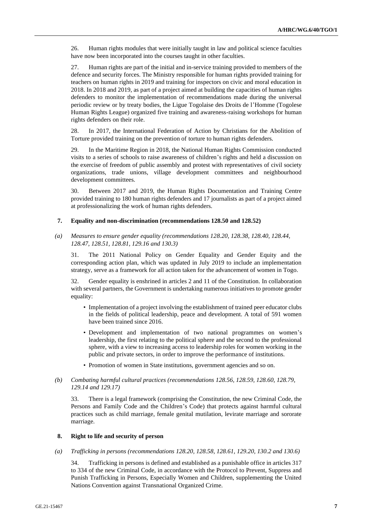26. Human rights modules that were initially taught in law and political science faculties have now been incorporated into the courses taught in other faculties.

27. Human rights are part of the initial and in-service training provided to members of the defence and security forces. The Ministry responsible for human rights provided training for teachers on human rights in 2019 and training for inspectors on civic and moral education in 2018. In 2018 and 2019, as part of a project aimed at building the capacities of human rights defenders to monitor the implementation of recommendations made during the universal periodic review or by treaty bodies, the Ligue Togolaise des Droits de l'Homme (Togolese Human Rights League) organized five training and awareness-raising workshops for human rights defenders on their role.

28. In 2017, the International Federation of Action by Christians for the Abolition of Torture provided training on the prevention of torture to human rights defenders.

29. In the Maritime Region in 2018, the National Human Rights Commission conducted visits to a series of schools to raise awareness of children's rights and held a discussion on the exercise of freedom of public assembly and protest with representatives of civil society organizations, trade unions, village development committees and neighbourhood development committees.

30. Between 2017 and 2019, the Human Rights Documentation and Training Centre provided training to 180 human rights defenders and 17 journalists as part of a project aimed at professionalizing the work of human rights defenders.

#### **7. Equality and non-discrimination (recommendations 128.50 and 128.52)**

*(a) Measures to ensure gender equality (recommendations 128.20, 128.38, 128.40, 128.44, 128.47, 128.51, 128.81, 129.16 and 130.3)*

31. The 2011 National Policy on Gender Equality and Gender Equity and the corresponding action plan, which was updated in July 2019 to include an implementation strategy, serve as a framework for all action taken for the advancement of women in Togo.

32. Gender equality is enshrined in articles 2 and 11 of the Constitution. In collaboration with several partners, the Government is undertaking numerous initiatives to promote gender equality:

- Implementation of a project involving the establishment of trained peer educator clubs in the fields of political leadership, peace and development. A total of 591 women have been trained since 2016.
- Development and implementation of two national programmes on women's leadership, the first relating to the political sphere and the second to the professional sphere, with a view to increasing access to leadership roles for women working in the public and private sectors, in order to improve the performance of institutions.
- Promotion of women in State institutions, government agencies and so on.

# *(b) Combating harmful cultural practices (recommendations 128.56, 128.59, 128.60, 128.79, 129.14 and 129.17)*

33. There is a legal framework (comprising the Constitution, the new Criminal Code, the Persons and Family Code and the Children's Code) that protects against harmful cultural practices such as child marriage, female genital mutilation, levirate marriage and sororate marriage.

### **8. Right to life and security of person**

*(a) Trafficking in persons (recommendations 128.20, 128.58, 128.61, 129.20, 130.2 and 130.6)*

34. Trafficking in persons is defined and established as a punishable office in articles 317 to 334 of the new Criminal Code, in accordance with the Protocol to Prevent, Suppress and Punish Trafficking in Persons, Especially Women and Children, supplementing the United Nations Convention against Transnational Organized Crime.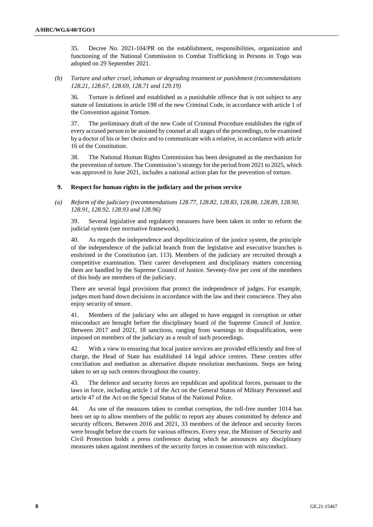35. Decree No. 2021-104/PR on the establishment, responsibilities, organization and functioning of the National Commission to Combat Trafficking in Persons in Togo was adopted on 29 September 2021.

*(b) Torture and other cruel, inhuman or degrading treatment or punishment (recommendations 128.21, 128.67, 128.69, 128.71 and 129.19)*

36. Torture is defined and established as a punishable offence that is not subject to any statute of limitations in article 198 of the new Criminal Code, in accordance with article 1 of the Convention against Torture.

37. The preliminary draft of the new Code of Criminal Procedure establishes the right of every accused person to be assisted by counsel at all stages of the proceedings, to be examined by a doctor of his or her choice and to communicate with a relative, in accordance with article 16 of the Constitution.

38. The National Human Rights Commission has been designated as the mechanism for the prevention of torture. The Commission's strategy for the period from 2021 to 2025, which was approved in June 2021, includes a national action plan for the prevention of torture.

#### **9. Respect for human rights in the judiciary and the prison service**

*(a) Reform of the judiciary (recommendations 128.77, 128.82, 128.83, 128.88, 128.89, 128.90, 128.91, 128.92, 128.93 and 128.96)*

39. Several legislative and regulatory measures have been taken in order to reform the judicial system (see normative framework).

40. As regards the independence and depoliticization of the justice system, the principle of the independence of the judicial branch from the legislative and executive branches is enshrined in the Constitution (art. 113). Members of the judiciary are recruited through a competitive examination. Their career development and disciplinary matters concerning them are handled by the Supreme Council of Justice. Seventy-five per cent of the members of this body are members of the judiciary.

There are several legal provisions that protect the independence of judges. For example, judges must hand down decisions in accordance with the law and their conscience. They also enjoy security of tenure.

41. Members of the judiciary who are alleged to have engaged in corruption or other misconduct are brought before the disciplinary board of the Supreme Council of Justice. Between 2017 and 2021, 18 sanctions, ranging from warnings to disqualification, were imposed on members of the judiciary as a result of such proceedings.

42. With a view to ensuring that local justice services are provided efficiently and free of charge, the Head of State has established 14 legal advice centres. These centres offer conciliation and mediation as alternative dispute resolution mechanisms. Steps are being taken to set up such centres throughout the country.

43. The defence and security forces are republican and apolitical forces, pursuant to the laws in force, including article 1 of the Act on the General Status of Military Personnel and article 47 of the Act on the Special Status of the National Police.

44. As one of the measures taken to combat corruption, the toll-free number 1014 has been set up to allow members of the public to report any abuses committed by defence and security officers. Between 2016 and 2021, 33 members of the defence and security forces were brought before the courts for various offences. Every year, the Minister of Security and Civil Protection holds a press conference during which he announces any disciplinary measures taken against members of the security forces in connection with misconduct.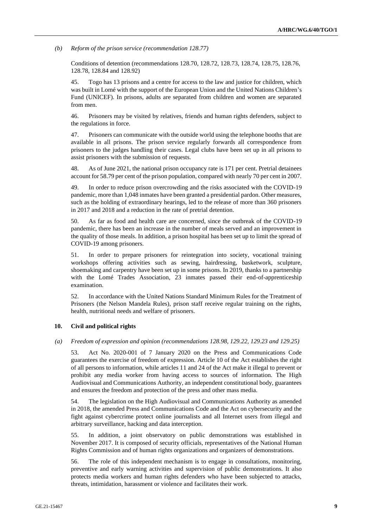*(b) Reform of the prison service (recommendation 128.77)*

Conditions of detention (recommendations 128.70, 128.72, 128.73, 128.74, 128.75, 128.76, 128.78, 128.84 and 128.92)

45. Togo has 13 prisons and a centre for access to the law and justice for children, which was built in Lomé with the support of the European Union and the United Nations Children's Fund (UNICEF). In prisons, adults are separated from children and women are separated from men.

46. Prisoners may be visited by relatives, friends and human rights defenders, subject to the regulations in force.

47. Prisoners can communicate with the outside world using the telephone booths that are available in all prisons. The prison service regularly forwards all correspondence from prisoners to the judges handling their cases. Legal clubs have been set up in all prisons to assist prisoners with the submission of requests.

48. As of June 2021, the national prison occupancy rate is 171 per cent. Pretrial detainees account for 58.79 per cent of the prison population, compared with nearly 70 per cent in 2007.

49. In order to reduce prison overcrowding and the risks associated with the COVID-19 pandemic, more than 1,048 inmates have been granted a presidential pardon. Other measures, such as the holding of extraordinary hearings, led to the release of more than 360 prisoners in 2017 and 2018 and a reduction in the rate of pretrial detention.

50. As far as food and health care are concerned, since the outbreak of the COVID-19 pandemic, there has been an increase in the number of meals served and an improvement in the quality of those meals. In addition, a prison hospital has been set up to limit the spread of COVID-19 among prisoners.

51. In order to prepare prisoners for reintegration into society, vocational training workshops offering activities such as sewing, hairdressing, basketwork, sculpture, shoemaking and carpentry have been set up in some prisons. In 2019, thanks to a partnership with the Lomé Trades Association, 23 inmates passed their end-of-apprenticeship examination.

52. In accordance with the United Nations Standard Minimum Rules for the Treatment of Prisoners (the Nelson Mandela Rules), prison staff receive regular training on the rights, health, nutritional needs and welfare of prisoners.

### **10. Civil and political rights**

#### *(a) Freedom of expression and opinion (recommendations 128.98, 129.22, 129.23 and 129.25)*

53. Act No. 2020-001 of 7 January 2020 on the Press and Communications Code guarantees the exercise of freedom of expression. Article 10 of the Act establishes the right of all persons to information, while articles 11 and 24 of the Act make it illegal to prevent or prohibit any media worker from having access to sources of information. The High Audiovisual and Communications Authority, an independent constitutional body, guarantees and ensures the freedom and protection of the press and other mass media.

54. The legislation on the High Audiovisual and Communications Authority as amended in 2018, the amended Press and Communications Code and the Act on cybersecurity and the fight against cybercrime protect online journalists and all Internet users from illegal and arbitrary surveillance, hacking and data interception.

55. In addition, a joint observatory on public demonstrations was established in November 2017. It is composed of security officials, representatives of the National Human Rights Commission and of human rights organizations and organizers of demonstrations.

56. The role of this independent mechanism is to engage in consultations, monitoring, preventive and early warning activities and supervision of public demonstrations. It also protects media workers and human rights defenders who have been subjected to attacks, threats, intimidation, harassment or violence and facilitates their work.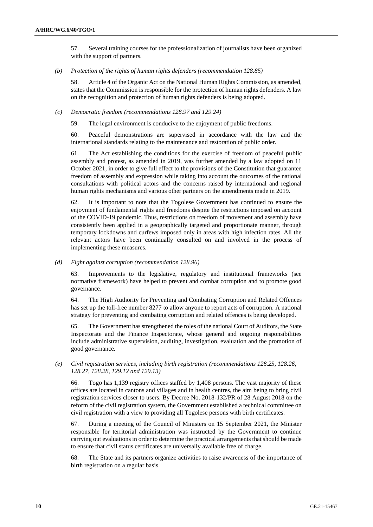57. Several training courses for the professionalization of journalists have been organized with the support of partners.

*(b) Protection of the rights of human rights defenders (recommendation 128.85)*

58. Article 4 of the Organic Act on the National Human Rights Commission, as amended, states that the Commission is responsible for the protection of human rights defenders. A law on the recognition and protection of human rights defenders is being adopted.

#### *(c) Democratic freedom (recommendations 128.97 and 129.24)*

59. The legal environment is conducive to the enjoyment of public freedoms.

60. Peaceful demonstrations are supervised in accordance with the law and the international standards relating to the maintenance and restoration of public order.

61. The Act establishing the conditions for the exercise of freedom of peaceful public assembly and protest, as amended in 2019, was further amended by a law adopted on 11 October 2021, in order to give full effect to the provisions of the Constitution that guarantee freedom of assembly and expression while taking into account the outcomes of the national consultations with political actors and the concerns raised by international and regional human rights mechanisms and various other partners on the amendments made in 2019.

62. It is important to note that the Togolese Government has continued to ensure the enjoyment of fundamental rights and freedoms despite the restrictions imposed on account of the COVID-19 pandemic. Thus, restrictions on freedom of movement and assembly have consistently been applied in a geographically targeted and proportionate manner, through temporary lockdowns and curfews imposed only in areas with high infection rates. All the relevant actors have been continually consulted on and involved in the process of implementing these measures.

*(d) Fight against corruption (recommendation 128.96)*

63. Improvements to the legislative, regulatory and institutional frameworks (see normative framework) have helped to prevent and combat corruption and to promote good governance.

64. The High Authority for Preventing and Combating Corruption and Related Offences has set up the toll-free number 8277 to allow anyone to report acts of corruption. A national strategy for preventing and combating corruption and related offences is being developed.

65. The Government has strengthened the roles of the national Court of Auditors, the State Inspectorate and the Finance Inspectorate, whose general and ongoing responsibilities include administrative supervision, auditing, investigation, evaluation and the promotion of good governance.

## *(e) Civil registration services, including birth registration (recommendations 128.25, 128.26, 128.27, 128.28, 129.12 and 129.13)*

66. Togo has 1,139 registry offices staffed by 1,408 persons. The vast majority of these offices are located in cantons and villages and in health centres, the aim being to bring civil registration services closer to users. By Decree No. 2018-132/PR of 28 August 2018 on the reform of the civil registration system, the Government established a technical committee on civil registration with a view to providing all Togolese persons with birth certificates.

67. During a meeting of the Council of Ministers on 15 September 2021, the Minister responsible for territorial administration was instructed by the Government to continue carrying out evaluations in order to determine the practical arrangements that should be made to ensure that civil status certificates are universally available free of charge.

68. The State and its partners organize activities to raise awareness of the importance of birth registration on a regular basis.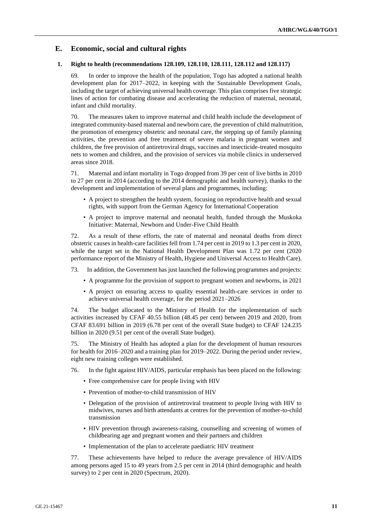# **E. Economic, social and cultural rights**

### **1. Right to health (recommendations 128.109, 128.110, 128.111, 128.112 and 128.117)**

69. In order to improve the health of the population, Togo has adopted a national health development plan for 2017–2022, in keeping with the Sustainable Development Goals, including the target of achieving universal health coverage. This plan comprises five strategic lines of action for combating disease and accelerating the reduction of maternal, neonatal, infant and child mortality.

70. The measures taken to improve maternal and child health include the development of integrated community-based maternal and newborn care, the prevention of child malnutrition, the promotion of emergency obstetric and neonatal care, the stepping up of family planning activities, the prevention and free treatment of severe malaria in pregnant women and children, the free provision of antiretroviral drugs, vaccines and insecticide-treated mosquito nets to women and children, and the provision of services via mobile clinics in underserved areas since 2018.

71. Maternal and infant mortality in Togo dropped from 39 per cent of live births in 2010 to 27 per cent in 2014 (according to the 2014 demographic and health survey), thanks to the development and implementation of several plans and programmes, including:

- A project to strengthen the health system, focusing on reproductive health and sexual rights, with support from the German Agency for International Cooperation
- A project to improve maternal and neonatal health, funded through the Muskoka Initiative: Maternal, Newborn and Under-Five Child Health

72. As a result of these efforts, the rate of maternal and neonatal deaths from direct obstetric causes in health-care facilities fell from 1.74 per cent in 2019 to 1.3 per cent in 2020, while the target set in the National Health Development Plan was 1.72 per cent (2020 performance report of the Ministry of Health, Hygiene and Universal Access to Health Care).

73. In addition, the Government has just launched the following programmes and projects:

- A programme for the provision of support to pregnant women and newborns, in 2021
- A project on ensuring access to quality essential health-care services in order to achieve universal health coverage, for the period 2021–2026

74. The budget allocated to the Ministry of Health for the implementation of such activities increased by CFAF 40.55 billion (48.45 per cent) between 2019 and 2020, from CFAF 83.691 billion in 2019 (6.78 per cent of the overall State budget) to CFAF 124.235 billion in 2020 (9.51 per cent of the overall State budget).

75. The Ministry of Health has adopted a plan for the development of human resources for health for 2016–2020 and a training plan for 2019–2022. During the period under review, eight new training colleges were established.

- 76. In the fight against HIV/AIDS, particular emphasis has been placed on the following:
	- Free comprehensive care for people living with HIV
	- Prevention of mother-to-child transmission of HIV
	- Delegation of the provision of antiretroviral treatment to people living with HIV to midwives, nurses and birth attendants at centres for the prevention of mother-to-child transmission
	- HIV prevention through awareness-raising, counselling and screening of women of childbearing age and pregnant women and their partners and children
	- Implementation of the plan to accelerate paediatric HIV treatment

77. These achievements have helped to reduce the average prevalence of HIV/AIDS among persons aged 15 to 49 years from 2.5 per cent in 2014 (third demographic and health survey) to 2 per cent in 2020 (Spectrum, 2020).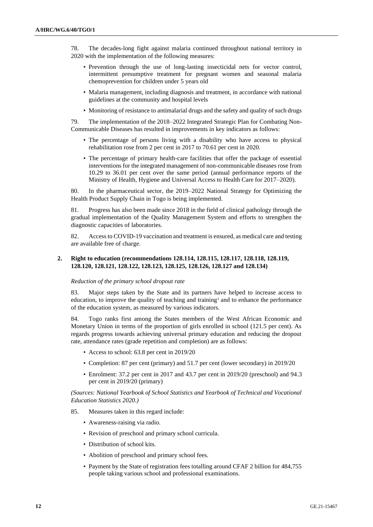78. The decades-long fight against malaria continued throughout national territory in 2020 with the implementation of the following measures:

- Prevention through the use of long-lasting insecticidal nets for vector control, intermittent presumptive treatment for pregnant women and seasonal malaria chemoprevention for children under 5 years old
- Malaria management, including diagnosis and treatment, in accordance with national guidelines at the community and hospital levels
- Monitoring of resistance to antimalarial drugs and the safety and quality of such drugs

79. The implementation of the 2018–2022 Integrated Strategic Plan for Combating Non-Communicable Diseases has resulted in improvements in key indicators as follows:

- The percentage of persons living with a disability who have access to physical rehabilitation rose from 2 per cent in 2017 to 70.61 per cent in 2020.
- The percentage of primary health-care facilities that offer the package of essential interventions for the integrated management of non-communicable diseases rose from 10.29 to 36.01 per cent over the same period (annual performance reports of the Ministry of Health, Hygiene and Universal Access to Health Care for 2017–2020).

80. In the pharmaceutical sector, the 2019–2022 National Strategy for Optimizing the Health Product Supply Chain in Togo is being implemented.

81. Progress has also been made since 2018 in the field of clinical pathology through the gradual implementation of the Quality Management System and efforts to strengthen the diagnostic capacities of laboratories.

82. Access to COVID-19 vaccination and treatment is ensured, as medical care and testing are available free of charge.

## **2. Right to education (recommendations 128.114, 128.115, 128.117, 128.118, 128.119, 128.120, 128.121, 128.122, 128.123, 128.125, 128.126, 128.127 and 128.134)**

#### *Reduction of the primary school dropout rate*

83. Major steps taken by the State and its partners have helped to increase access to education, to improve the quality of teaching and training<sup>1</sup> and to enhance the performance of the education system, as measured by various indicators.

84. Togo ranks first among the States members of the West African Economic and Monetary Union in terms of the proportion of girls enrolled in school (121.5 per cent). As regards progress towards achieving universal primary education and reducing the dropout rate, attendance rates (grade repetition and completion) are as follows:

- Access to school: 63.8 per cent in 2019/20
- Completion: 87 per cent (primary) and 51.7 per cent (lower secondary) in 2019/20
- Enrolment: 37.2 per cent in 2017 and 43.7 per cent in 2019/20 (preschool) and 94.3 per cent in 2019/20 (primary)

#### *(Sources: National Yearbook of School Statistics and Yearbook of Technical and Vocational Education Statistics 2020.)*

- 85. Measures taken in this regard include:
	- Awareness-raising via radio.
	- Revision of preschool and primary school curricula.
	- Distribution of school kits.
	- Abolition of preschool and primary school fees.
	- Payment by the State of registration fees totalling around CFAF 2 billion for 484,755 people taking various school and professional examinations.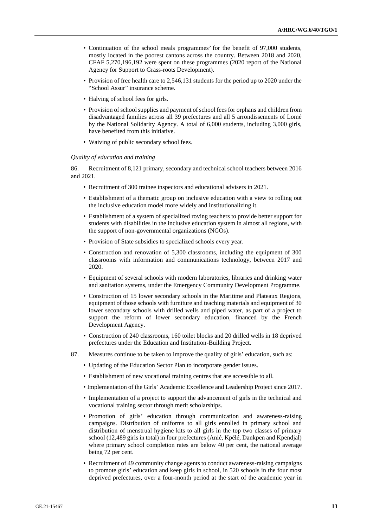- Continuation of the school meals programmes<sup>2</sup> for the benefit of 97,000 students, mostly located in the poorest cantons across the country. Between 2018 and 2020, CFAF 5,270,196,192 were spent on these programmes (2020 report of the National Agency for Support to Grass-roots Development).
- Provision of free health care to 2,546,131 students for the period up to 2020 under the "School Assur" insurance scheme.
- Halving of school fees for girls.
- Provision of school supplies and payment of school fees for orphans and children from disadvantaged families across all 39 prefectures and all 5 arrondissements of Lomé by the National Solidarity Agency. A total of 6,000 students, including 3,000 girls, have benefited from this initiative.
- Waiving of public secondary school fees.

#### *Quality of education and training*

86. Recruitment of 8,121 primary, secondary and technical school teachers between 2016 and 2021.

- Recruitment of 300 trainee inspectors and educational advisers in 2021.
- Establishment of a thematic group on inclusive education with a view to rolling out the inclusive education model more widely and institutionalizing it.
- Establishment of a system of specialized roving teachers to provide better support for students with disabilities in the inclusive education system in almost all regions, with the support of non-governmental organizations (NGOs).
- Provision of State subsidies to specialized schools every year.
- Construction and renovation of 5,300 classrooms, including the equipment of 300 classrooms with information and communications technology, between 2017 and 2020.
- Equipment of several schools with modern laboratories, libraries and drinking water and sanitation systems, under the Emergency Community Development Programme.
- Construction of 15 lower secondary schools in the Maritime and Plateaux Regions, equipment of those schools with furniture and teaching materials and equipment of 30 lower secondary schools with drilled wells and piped water, as part of a project to support the reform of lower secondary education, financed by the French Development Agency.
- Construction of 240 classrooms, 160 toilet blocks and 20 drilled wells in 18 deprived prefectures under the Education and Institution-Building Project.
- 87. Measures continue to be taken to improve the quality of girls' education, such as:
	- Updating of the Education Sector Plan to incorporate gender issues.
	- Establishment of new vocational training centres that are accessible to all.
	- Implementation of the Girls' Academic Excellence and Leadership Project since 2017.
	- Implementation of a project to support the advancement of girls in the technical and vocational training sector through merit scholarships.
	- Promotion of girls' education through communication and awareness-raising campaigns. Distribution of uniforms to all girls enrolled in primary school and distribution of menstrual hygiene kits to all girls in the top two classes of primary school (12,489 girls in total) in four prefectures (Anié, Kpélé, Dankpen and Kpendjal) where primary school completion rates are below 40 per cent, the national average being 72 per cent.
	- Recruitment of 49 community change agents to conduct awareness-raising campaigns to promote girls' education and keep girls in school, in 520 schools in the four most deprived prefectures, over a four-month period at the start of the academic year in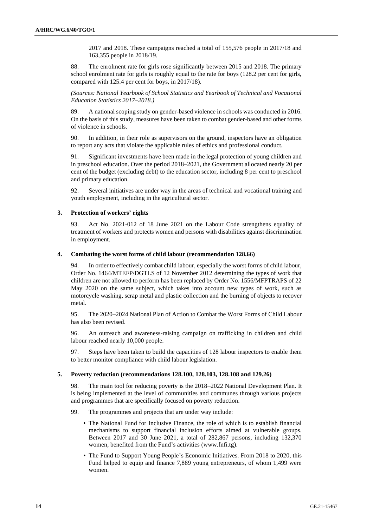2017 and 2018. These campaigns reached a total of 155,576 people in 2017/18 and 163,355 people in 2018/19.

88. The enrolment rate for girls rose significantly between 2015 and 2018. The primary school enrolment rate for girls is roughly equal to the rate for boys (128.2 per cent for girls, compared with 125.4 per cent for boys, in 2017/18).

*(Sources: National Yearbook of School Statistics and Yearbook of Technical and Vocational Education Statistics 2017–2018.)*

89. A national scoping study on gender-based violence in schools was conducted in 2016. On the basis of this study, measures have been taken to combat gender-based and other forms of violence in schools.

90. In addition, in their role as supervisors on the ground, inspectors have an obligation to report any acts that violate the applicable rules of ethics and professional conduct.

91. Significant investments have been made in the legal protection of young children and in preschool education. Over the period 2018–2021, the Government allocated nearly 20 per cent of the budget (excluding debt) to the education sector, including 8 per cent to preschool and primary education.

92. Several initiatives are under way in the areas of technical and vocational training and youth employment, including in the agricultural sector.

#### **3. Protection of workers' rights**

93. Act No. 2021-012 of 18 June 2021 on the Labour Code strengthens equality of treatment of workers and protects women and persons with disabilities against discrimination in employment.

#### **4. Combating the worst forms of child labour (recommendation 128.66)**

94. In order to effectively combat child labour, especially the worst forms of child labour, Order No. 1464/MTEFP/DGTLS of 12 November 2012 determining the types of work that children are not allowed to perform has been replaced by Order No. 1556/MFPTRAPS of 22 May 2020 on the same subject, which takes into account new types of work, such as motorcycle washing, scrap metal and plastic collection and the burning of objects to recover metal.

95. The 2020–2024 National Plan of Action to Combat the Worst Forms of Child Labour has also been revised.

96. An outreach and awareness-raising campaign on trafficking in children and child labour reached nearly 10,000 people.

97. Steps have been taken to build the capacities of 128 labour inspectors to enable them to better monitor compliance with child labour legislation.

## **5. Poverty reduction (recommendations 128.100, 128.103, 128.108 and 129.26)**

98. The main tool for reducing poverty is the 2018–2022 National Development Plan. It is being implemented at the level of communities and communes through various projects and programmes that are specifically focused on poverty reduction.

99. The programmes and projects that are under way include:

- The National Fund for Inclusive Finance, the role of which is to establish financial mechanisms to support financial inclusion efforts aimed at vulnerable groups. Between 2017 and 30 June 2021, a total of 282,867 persons, including 132,370 women, benefited from the Fund's activities (www.fnfi.tg).
- The Fund to Support Young People's Economic Initiatives. From 2018 to 2020, this Fund helped to equip and finance 7,889 young entrepreneurs, of whom 1,499 were women.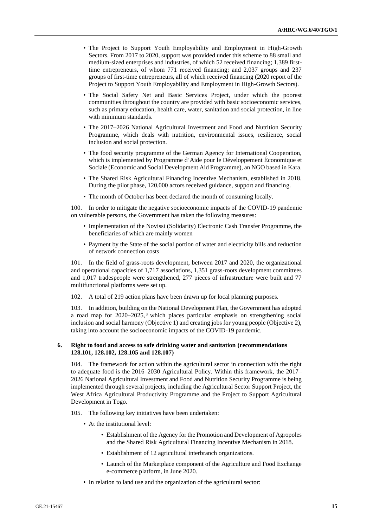- The Project to Support Youth Employability and Employment in High-Growth Sectors. From 2017 to 2020, support was provided under this scheme to 88 small and medium-sized enterprises and industries, of which 52 received financing; 1,389 firsttime entrepreneurs, of whom 771 received financing; and 2,037 groups and 237 groups of first-time entrepreneurs, all of which received financing (2020 report of the Project to Support Youth Employability and Employment in High-Growth Sectors).
- The Social Safety Net and Basic Services Project, under which the poorest communities throughout the country are provided with basic socioeconomic services, such as primary education, health care, water, sanitation and social protection, in line with minimum standards.
- The 2017–2026 National Agricultural Investment and Food and Nutrition Security Programme, which deals with nutrition, environmental issues, resilience, social inclusion and social protection.
- The food security programme of the German Agency for International Cooperation, which is implemented by Programme d'Aide pour le Développement Économique et Sociale (Economic and Social Development Aid Programme), an NGO based in Kara.
- The Shared Risk Agricultural Financing Incentive Mechanism, established in 2018. During the pilot phase, 120,000 actors received guidance, support and financing.
- The month of October has been declared the month of consuming locally.

100. In order to mitigate the negative socioeconomic impacts of the COVID-19 pandemic on vulnerable persons, the Government has taken the following measures:

- Implementation of the Novissi (Solidarity) Electronic Cash Transfer Programme, the beneficiaries of which are mainly women
- Payment by the State of the social portion of water and electricity bills and reduction of network connection costs

101. In the field of grass-roots development, between 2017 and 2020, the organizational and operational capacities of 1,717 associations, 1,351 grass-roots development committees and 1,017 tradespeople were strengthened, 277 pieces of infrastructure were built and 77 multifunctional platforms were set up.

102. A total of 219 action plans have been drawn up for local planning purposes.

103. In addition, building on the National Development Plan, the Government has adopted a road map for 2020–2025, <sup>3</sup> which places particular emphasis on strengthening social inclusion and social harmony (Objective 1) and creating jobs for young people (Objective 2), taking into account the socioeconomic impacts of the COVID-19 pandemic.

#### **6. Right to food and access to safe drinking water and sanitation (recommendations 128.101, 128.102, 128.105 and 128.107)**

104. The framework for action within the agricultural sector in connection with the right to adequate food is the 2016–2030 Agricultural Policy. Within this framework, the 2017– 2026 National Agricultural Investment and Food and Nutrition Security Programme is being implemented through several projects, including the Agricultural Sector Support Project, the West Africa Agricultural Productivity Programme and the Project to Support Agricultural Development in Togo.

105. The following key initiatives have been undertaken:

- At the institutional level:
	- Establishment of the Agency for the Promotion and Development of Agropoles and the Shared Risk Agricultural Financing Incentive Mechanism in 2018.
	- Establishment of 12 agricultural interbranch organizations.
	- Launch of the Marketplace component of the Agriculture and Food Exchange e-commerce platform, in June 2020.
- In relation to land use and the organization of the agricultural sector: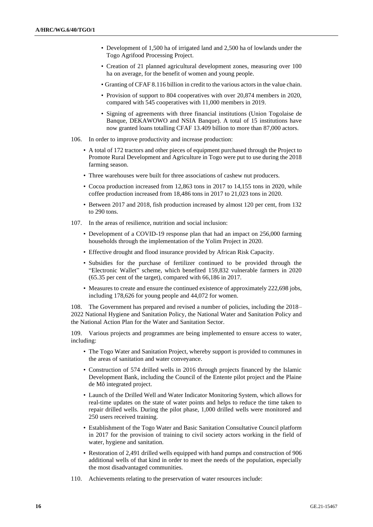- Development of 1,500 ha of irrigated land and 2,500 ha of lowlands under the Togo Agrifood Processing Project.
- Creation of 21 planned agricultural development zones, measuring over 100 ha on average, for the benefit of women and young people.
- Granting of CFAF 8.116 billion in credit to the various actors in the value chain.
- Provision of support to 804 cooperatives with over 20,874 members in 2020, compared with 545 cooperatives with 11,000 members in 2019.
- Signing of agreements with three financial institutions (Union Togolaise de Banque, DEKAWOWO and NSIA Banque). A total of 15 institutions have now granted loans totalling CFAF 13.409 billion to more than 87,000 actors.
- 106. In order to improve productivity and increase production:
	- A total of 172 tractors and other pieces of equipment purchased through the Project to Promote Rural Development and Agriculture in Togo were put to use during the 2018 farming season.
	- Three warehouses were built for three associations of cashew nut producers.
	- Cocoa production increased from 12,863 tons in 2017 to 14,155 tons in 2020, while coffee production increased from 18,486 tons in 2017 to 21,023 tons in 2020.
	- Between 2017 and 2018, fish production increased by almost 120 per cent, from 132 to 290 tons.
- 107. In the areas of resilience, nutrition and social inclusion:
	- Development of a COVID-19 response plan that had an impact on 256,000 farming households through the implementation of the Yolim Project in 2020.
	- Effective drought and flood insurance provided by African Risk Capacity.
	- Subsidies for the purchase of fertilizer continued to be provided through the "Electronic Wallet" scheme, which benefited 159,832 vulnerable farmers in 2020 (65.35 per cent of the target), compared with 66,186 in 2017.
	- Measures to create and ensure the continued existence of approximately 222,698 jobs, including 178,626 for young people and 44,072 for women.

108. The Government has prepared and revised a number of policies, including the 2018– 2022 National Hygiene and Sanitation Policy, the National Water and Sanitation Policy and the National Action Plan for the Water and Sanitation Sector.

109. Various projects and programmes are being implemented to ensure access to water, including:

- The Togo Water and Sanitation Project, whereby support is provided to communes in the areas of sanitation and water conveyance.
- Construction of 574 drilled wells in 2016 through projects financed by the Islamic Development Bank, including the Council of the Entente pilot project and the Plaine de Mô integrated project.
- Launch of the Drilled Well and Water Indicator Monitoring System, which allows for real-time updates on the state of water points and helps to reduce the time taken to repair drilled wells. During the pilot phase, 1,000 drilled wells were monitored and 250 users received training.
- Establishment of the Togo Water and Basic Sanitation Consultative Council platform in 2017 for the provision of training to civil society actors working in the field of water, hygiene and sanitation.
- Restoration of 2,491 drilled wells equipped with hand pumps and construction of 906 additional wells of that kind in order to meet the needs of the population, especially the most disadvantaged communities.
- 110. Achievements relating to the preservation of water resources include: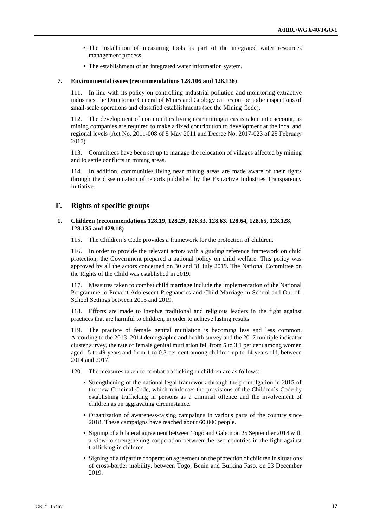- The installation of measuring tools as part of the integrated water resources management process.
- The establishment of an integrated water information system.

#### **7. Environmental issues (recommendations 128.106 and 128.136)**

111. In line with its policy on controlling industrial pollution and monitoring extractive industries, the Directorate General of Mines and Geology carries out periodic inspections of small-scale operations and classified establishments (see the Mining Code).

112. The development of communities living near mining areas is taken into account, as mining companies are required to make a fixed contribution to development at the local and regional levels (Act No. 2011-008 of 5 May 2011 and Decree No. 2017-023 of 25 February 2017).

113. Committees have been set up to manage the relocation of villages affected by mining and to settle conflicts in mining areas.

114. In addition, communities living near mining areas are made aware of their rights through the dissemination of reports published by the Extractive Industries Transparency Initiative.

# **F. Rights of specific groups**

### **1. Children (recommendations 128.19, 128.29, 128.33, 128.63, 128.64, 128.65, 128.128, 128.135 and 129.18)**

115. The Children's Code provides a framework for the protection of children.

116. In order to provide the relevant actors with a guiding reference framework on child protection, the Government prepared a national policy on child welfare. This policy was approved by all the actors concerned on 30 and 31 July 2019. The National Committee on the Rights of the Child was established in 2019.

117. Measures taken to combat child marriage include the implementation of the National Programme to Prevent Adolescent Pregnancies and Child Marriage in School and Out-of-School Settings between 2015 and 2019.

118. Efforts are made to involve traditional and religious leaders in the fight against practices that are harmful to children, in order to achieve lasting results.

The practice of female genital mutilation is becoming less and less common. According to the 2013–2014 demographic and health survey and the 2017 multiple indicator cluster survey, the rate of female genital mutilation fell from 5 to 3.1 per cent among women aged 15 to 49 years and from 1 to 0.3 per cent among children up to 14 years old, between 2014 and 2017.

- 120. The measures taken to combat trafficking in children are as follows:
	- Strengthening of the national legal framework through the promulgation in 2015 of the new Criminal Code, which reinforces the provisions of the Children's Code by establishing trafficking in persons as a criminal offence and the involvement of children as an aggravating circumstance.
	- Organization of awareness-raising campaigns in various parts of the country since 2018. These campaigns have reached about 60,000 people.
	- Signing of a bilateral agreement between Togo and Gabon on 25 September 2018 with a view to strengthening cooperation between the two countries in the fight against trafficking in children.
	- Signing of a tripartite cooperation agreement on the protection of children in situations of cross-border mobility, between Togo, Benin and Burkina Faso, on 23 December 2019.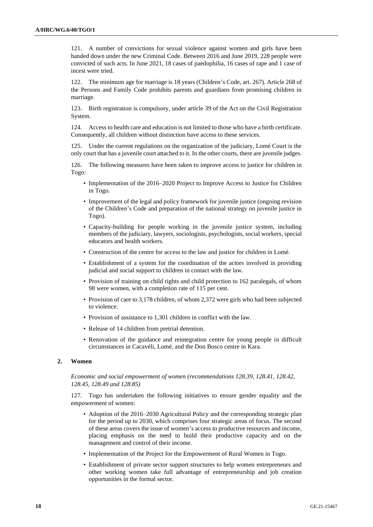121. A number of convictions for sexual violence against women and girls have been handed down under the new Criminal Code. Between 2016 and June 2019, 228 people were convicted of such acts. In June 2021, 18 cases of paedophilia, 16 cases of rape and 1 case of incest were tried.

122. The minimum age for marriage is 18 years (Children's Code, art. 267). Article 268 of the Persons and Family Code prohibits parents and guardians from promising children in marriage.

123. Birth registration is compulsory, under article 39 of the Act on the Civil Registration System.

124. Access to health care and education is not limited to those who have a birth certificate. Consequently, all children without distinction have access to these services.

125. Under the current regulations on the organization of the judiciary, Lomé Court is the only court that has a juvenile court attached to it. In the other courts, there are juvenile judges.

126. The following measures have been taken to improve access to justice for children in Togo:

- Implementation of the 2016–2020 Project to Improve Access to Justice for Children in Togo.
- Improvement of the legal and policy framework for juvenile justice (ongoing revision of the Children's Code and preparation of the national strategy on juvenile justice in Togo).
- Capacity-building for people working in the juvenile justice system, including members of the judiciary, lawyers, sociologists, psychologists, social workers, special educators and health workers.
- Construction of the centre for access to the law and justice for children in Lomé.
- Establishment of a system for the coordination of the actors involved in providing judicial and social support to children in contact with the law.
- Provision of training on child rights and child protection to 162 paralegals, of whom 98 were women, with a completion rate of 115 per cent.
- Provision of care to 3,178 children, of whom 2,372 were girls who had been subjected to violence.
- Provision of assistance to 1,301 children in conflict with the law.
- Release of 14 children from pretrial detention.
- Renovation of the guidance and reintegration centre for young people in difficult circumstances in Cacavéli, Lomé, and the Don Bosco centre in Kara.

#### **2. Women**

*Economic and social empowerment of women (recommendations 128.39, 128.41, 128.42, 128.45, 128.49 and 128.85)*

127. Togo has undertaken the following initiatives to ensure gender equality and the empowerment of women:

- Adoption of the 2016–2030 Agricultural Policy and the corresponding strategic plan for the period up to 2030, which comprises four strategic areas of focus. The second of these areas covers the issue of women's access to productive resources and income, placing emphasis on the need to build their productive capacity and on the management and control of their income.
- Implementation of the Project for the Empowerment of Rural Women in Togo.
- Establishment of private sector support structures to help women entrepreneurs and other working women take full advantage of entrepreneurship and job creation opportunities in the formal sector.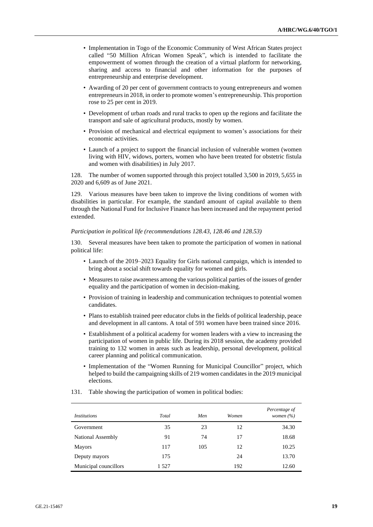- Implementation in Togo of the Economic Community of West African States project called "50 Million African Women Speak", which is intended to facilitate the empowerment of women through the creation of a virtual platform for networking, sharing and access to financial and other information for the purposes of entrepreneurship and enterprise development.
- Awarding of 20 per cent of government contracts to young entrepreneurs and women entrepreneurs in 2018, in order to promote women's entrepreneurship. This proportion rose to 25 per cent in 2019.
- Development of urban roads and rural tracks to open up the regions and facilitate the transport and sale of agricultural products, mostly by women.
- Provision of mechanical and electrical equipment to women's associations for their economic activities.
- Launch of a project to support the financial inclusion of vulnerable women (women living with HIV, widows, porters, women who have been treated for obstetric fistula and women with disabilities) in July 2017.

128. The number of women supported through this project totalled 3,500 in 2019, 5,655 in 2020 and 6,609 as of June 2021.

129. Various measures have been taken to improve the living conditions of women with disabilities in particular. For example, the standard amount of capital available to them through the National Fund for Inclusive Finance has been increased and the repayment period extended.

*Participation in political life (recommendations 128.43, 128.46 and 128.53)*

130. Several measures have been taken to promote the participation of women in national political life:

- Launch of the 2019–2023 Equality for Girls national campaign, which is intended to bring about a social shift towards equality for women and girls.
- Measures to raise awareness among the various political parties of the issues of gender equality and the participation of women in decision-making.
- Provision of training in leadership and communication techniques to potential women candidates.
- Plans to establish trained peer educator clubs in the fields of political leadership, peace and development in all cantons. A total of 591 women have been trained since 2016.
- Establishment of a political academy for women leaders with a view to increasing the participation of women in public life. During its 2018 session, the academy provided training to 132 women in areas such as leadership, personal development, political career planning and political communication.
- Implementation of the "Women Running for Municipal Councillor" project, which helped to build the campaigning skills of 219 women candidates in the 2019 municipal elections.

| <i>Institutions</i>   | Total | Men | Women | Percentage of<br>women $(\%)$ |
|-----------------------|-------|-----|-------|-------------------------------|
| Government            | 35    | 23  | 12    | 34.30                         |
| National Assembly     | 91    | 74  | 17    | 18.68                         |
| <b>Mayors</b>         | 117   | 105 | 12    | 10.25                         |
| Deputy mayors         | 175   |     | 24    | 13.70                         |
| Municipal councillors | 1527  |     | 192   | 12.60                         |

131. Table showing the participation of women in political bodies: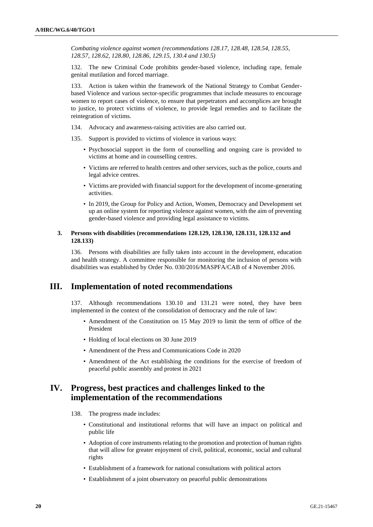*Combating violence against women (recommendations 128.17, 128.48, 128.54, 128.55, 128.57, 128.62, 128.80, 128.86, 129.15, 130.4 and 130.5)*

132. The new Criminal Code prohibits gender-based violence, including rape, female genital mutilation and forced marriage.

133. Action is taken within the framework of the National Strategy to Combat Genderbased Violence and various sector-specific programmes that include measures to encourage women to report cases of violence, to ensure that perpetrators and accomplices are brought to justice, to protect victims of violence, to provide legal remedies and to facilitate the reintegration of victims.

- 134. Advocacy and awareness-raising activities are also carried out.
- 135. Support is provided to victims of violence in various ways:
	- Psychosocial support in the form of counselling and ongoing care is provided to victims at home and in counselling centres.
	- Victims are referred to health centres and other services, such as the police, courts and legal advice centres.
	- Victims are provided with financial support for the development of income-generating activities.
	- In 2019, the Group for Policy and Action, Women, Democracy and Development set up an online system for reporting violence against women, with the aim of preventing gender-based violence and providing legal assistance to victims.

### **3. Persons with disabilities (recommendations 128.129, 128.130, 128.131, 128.132 and 128.133)**

136. Persons with disabilities are fully taken into account in the development, education and health strategy. A committee responsible for monitoring the inclusion of persons with disabilities was established by Order No. 030/2016/MASPFA/CAB of 4 November 2016.

# **III. Implementation of noted recommendations**

137. Although recommendations 130.10 and 131.21 were noted, they have been implemented in the context of the consolidation of democracy and the rule of law:

- Amendment of the Constitution on 15 May 2019 to limit the term of office of the President
- Holding of local elections on 30 June 2019
- Amendment of the Press and Communications Code in 2020
- Amendment of the Act establishing the conditions for the exercise of freedom of peaceful public assembly and protest in 2021

# **IV. Progress, best practices and challenges linked to the implementation of the recommendations**

- 138. The progress made includes:
	- Constitutional and institutional reforms that will have an impact on political and public life
	- Adoption of core instruments relating to the promotion and protection of human rights that will allow for greater enjoyment of civil, political, economic, social and cultural rights
	- Establishment of a framework for national consultations with political actors
	- Establishment of a joint observatory on peaceful public demonstrations